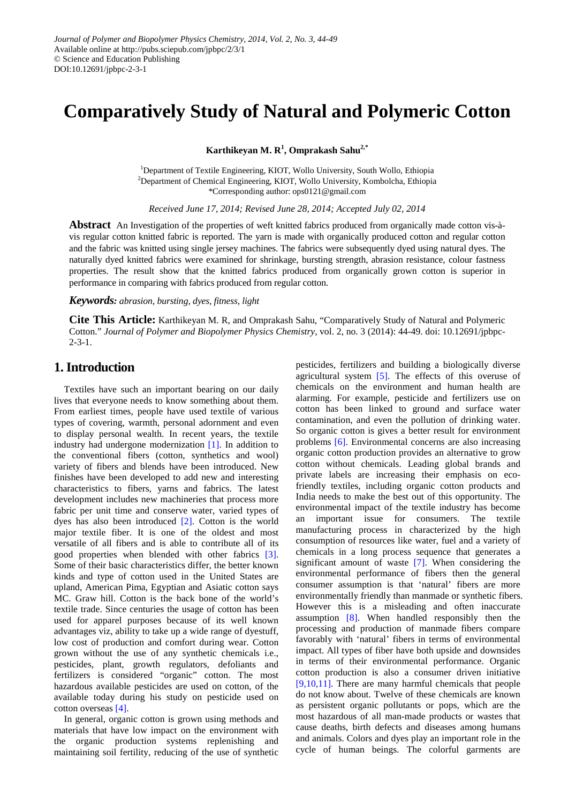# **Comparatively Study of Natural and Polymeric Cotton**

**Karthikeyan M. R<sup>1</sup> , Omprakash Sahu2,\***

<sup>1</sup>Department of Textile Engineering, KIOT, Wollo University, South Wollo, Ethiopia <sup>2</sup>Department of Chemical Engineering, KIOT, Wollo University, Kombolcha, Ethiopia \*Corresponding author: ops0121@gmail.com

*Received June 17, 2014; Revised June 28, 2014; Accepted July 02, 2014*

**Abstract** An Investigation of the properties of weft knitted fabrics produced from organically made cotton vis-àvis regular cotton knitted fabric is reported. The yarn is made with organically produced cotton and regular cotton and the fabric was knitted using single jersey machines. The fabrics were subsequently dyed using natural dyes. The naturally dyed knitted fabrics were examined for shrinkage, bursting strength, abrasion resistance, colour fastness properties. The result show that the knitted fabrics produced from organically grown cotton is superior in performance in comparing with fabrics produced from regular cotton.

*Keywords: abrasion, bursting, dyes, fitness, light*

**Cite This Article:** Karthikeyan M. R, and Omprakash Sahu, "Comparatively Study of Natural and Polymeric Cotton." *Journal of Polymer and Biopolymer Physics Chemistry*, vol. 2, no. 3 (2014): 44-49. doi: 10.12691/jpbpc- $2 - 3 - 1$ .

### **1. Introduction**

Textiles have such an important bearing on our daily lives that everyone needs to know something about them. From earliest times, people have used textile of various types of covering, warmth, personal adornment and even to display personal wealth. In recent years, the textile industry had undergone modernization [\[1\].](#page-5-0) In addition to the conventional fibers (cotton, synthetics and wool) variety of fibers and blends have been introduced. New finishes have been developed to add new and interesting characteristics to fibers, yarns and fabrics. The latest development includes new machineries that process more fabric per unit time and conserve water, varied types of dyes has also been introduced [\[2\].](#page-5-1) Cotton is the world major textile fiber. It is one of the oldest and most versatile of all fibers and is able to contribute all of its good properties when blended with other fabrics [\[3\].](#page-5-2) Some of their basic characteristics differ, the better known kinds and type of cotton used in the United States are upland, American Pima, Egyptian and Asiatic cotton says MC. Graw hill. Cotton is the back bone of the world's textile trade. Since centuries the usage of cotton has been used for apparel purposes because of its well known advantages viz, ability to take up a wide range of dyestuff, low cost of production and comfort during wear. Cotton grown without the use of any synthetic chemicals i.e., pesticides, plant, growth regulators, defoliants and fertilizers is considered "organic" cotton. The most hazardous available pesticides are used on cotton, of the available today during his study on pesticide used on cotton overseas [\[4\].](#page-5-3)

In general, organic cotton is grown using methods and materials that have low impact on the environment with the organic production systems replenishing and maintaining soil fertility, reducing of the use of synthetic pesticides, fertilizers and building a biologically diverse agricultural system  $[5]$ . The effects of this overuse of chemicals on the environment and human health are alarming. For example, pesticide and fertilizers use on cotton has been linked to ground and surface water contamination, and even the pollution of drinking water. So organic cotton is gives a better result for environment problems [\[6\].](#page-5-5) Environmental concerns are also increasing organic cotton production provides an alternative to grow cotton without chemicals. Leading global brands and private labels are increasing their emphasis on ecofriendly textiles, including organic cotton products and India needs to make the best out of this opportunity. The environmental impact of the textile industry has become an important issue for consumers. The textile manufacturing process in characterized by the high consumption of resources like water, fuel and a variety of chemicals in a long process sequence that generates a significant amount of waste [\[7\].](#page-5-6) When considering the environmental performance of fibers then the general consumer assumption is that 'natural' fibers are more environmentally friendly than manmade or synthetic fibers. However this is a misleading and often inaccurate assumption [\[8\].](#page-5-7) When handled responsibly then the processing and production of manmade fibers compare favorably with 'natural' fibers in terms of environmental impact. All types of fiber have both upside and downsides in terms of their environmental performance. Organic cotton production is also a consumer driven initiative [\[9,10,11\].](#page-5-8) There are many harmful chemicals that people do not know about. Twelve of these chemicals are known as persistent organic pollutants or pops, which are the most hazardous of all man-made products or wastes that cause deaths, birth defects and diseases among humans and animals. Colors and dyes play an important role in the cycle of human beings. The colorful garments are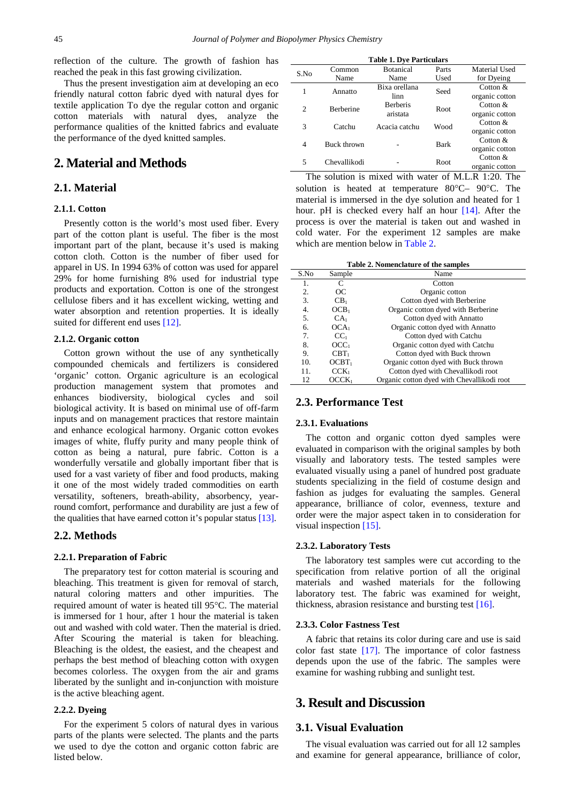reflection of the culture. The growth of fashion has reached the peak in this fast growing civilization.

Thus the present investigation aim at developing an eco friendly natural cotton fabric dyed with natural dyes for textile application To dye the regular cotton and organic cotton materials with natural dyes, analyze the performance qualities of the knitted fabrics and evaluate the performance of the dyed knitted samples.

### **2. Material and Methods**

### **2.1. Material**

### **2.1.1. Cotton**

Presently cotton is the world's most used fiber. Every part of the cotton plant is useful. The fiber is the most important part of the plant, because it's used is making cotton cloth. Cotton is the number of fiber used for apparel in US. In 1994 63% of cotton was used for apparel 29% for home furnishing 8% used for industrial type products and exportation. Cotton is one of the strongest cellulose fibers and it has excellent wicking, wetting and water absorption and retention properties. It is ideally suited for different end uses [\[12\].](#page-5-9)

### **2.1.2. Organic cotton**

Cotton grown without the use of any synthetically compounded chemicals and fertilizers is considered 'organic' cotton. Organic agriculture is an ecological production management system that promotes and enhances biodiversity, biological cycles and soil biological activity. It is based on minimal use of off-farm inputs and on management practices that restore maintain and enhance ecological harmony. Organic cotton evokes images of white, fluffy purity and many people think of cotton as being a natural, pure fabric. Cotton is a wonderfully versatile and globally important fiber that is used for a vast variety of fiber and food products, making it one of the most widely traded commodities on earth versatility, softeners, breath-ability, absorbency, yearround comfort, performance and durability are just a few of the qualities that have earned cotton it's popular status [\[13\].](#page-5-10)

### **2.2. Methods**

### **2.2.1. Preparation of Fabric**

The preparatory test for cotton material is scouring and bleaching. This treatment is given for removal of starch, natural coloring matters and other impurities. The required amount of water is heated till 95°C. The material is immersed for 1 hour, after 1 hour the material is taken out and washed with cold water. Then the material is dried. After Scouring the material is taken for bleaching. Bleaching is the oldest, the easiest, and the cheapest and perhaps the best method of bleaching cotton with oxygen becomes colorless. The oxygen from the air and grams liberated by the sunlight and in-conjunction with moisture is the active bleaching agent.

### **2.2.2. Dyeing**

For the experiment 5 colors of natural dyes in various parts of the plants were selected. The plants and the parts we used to dye the cotton and organic cotton fabric are listed below.

| <b>Table 1. Dye Particulars</b> |                  |                  |       |                |  |  |  |  |  |  |
|---------------------------------|------------------|------------------|-------|----------------|--|--|--|--|--|--|
| S.No                            | Common           | <b>Botanical</b> | Parts | Material Used  |  |  |  |  |  |  |
|                                 | Name             | Name             | Used  | for Dyeing     |  |  |  |  |  |  |
| 1                               | Annatto          | Bixa orellana    | Seed  | Cotton $&$     |  |  |  |  |  |  |
|                                 |                  | linn             |       | organic cotton |  |  |  |  |  |  |
| $\mathfrak{D}$                  | <b>Berberine</b> | <b>Berberis</b>  | Root. | Cotton $&$     |  |  |  |  |  |  |
|                                 |                  | aristata         |       | organic cotton |  |  |  |  |  |  |
| 3                               | Catchu           | Acacia catchu    | Wood  | Cotton $&$     |  |  |  |  |  |  |
|                                 |                  |                  |       | organic cotton |  |  |  |  |  |  |
| $\overline{4}$                  | Buck thrown      |                  | Bark  | Cotton $&$     |  |  |  |  |  |  |
|                                 |                  |                  |       | organic cotton |  |  |  |  |  |  |
| 5                               | Chevallikodi     |                  | Root  | Cotton $&$     |  |  |  |  |  |  |
|                                 |                  |                  |       | organic cotton |  |  |  |  |  |  |

The solution is mixed with water of M.L.R 1:20. The solution is heated at temperature 80°C– 90°C. The material is immersed in the dye solution and heated for 1 hour. pH is checked every half an hour [\[14\].](#page-5-11) After the process is over the material is taken out and washed in cold water. For the experiment 12 samples are make which are mention below in [Table 2.](#page-1-0)

**Table 2. Nomenclature of the samples**

<span id="page-1-0"></span>

| S.No | Sample            | Name                                       |
|------|-------------------|--------------------------------------------|
| 1.   |                   | Cotton                                     |
| 2.   | OC                | Organic cotton                             |
| 3.   | CB <sub>1</sub>   | Cotton dyed with Berberine                 |
| 4.   | OCB <sub>1</sub>  | Organic cotton dyed with Berberine         |
| 5.   | CA <sub>1</sub>   | Cotton dyed with Annatto                   |
| 6.   | OCA <sub>1</sub>  | Organic cotton dyed with Annatto           |
| 7.   | CC <sub>1</sub>   | Cotton dyed with Catchu                    |
| 8.   | OCC <sub>1</sub>  | Organic cotton dyed with Catchu            |
| 9.   | $CBT_1$           | Cotton dyed with Buck thrown               |
| 10.  | $OCBT_1$          | Organic cotton dyed with Buck thrown       |
| 11.  | $CCK_1$           | Cotton dyed with Chevallikodi root         |
| 12   | OCCK <sub>1</sub> | Organic cotton dyed with Chevallikodi root |

### **2.3. Performance Test**

### **2.3.1. Evaluations**

The cotton and organic cotton dyed samples were evaluated in comparison with the original samples by both visually and laboratory tests. The tested samples were evaluated visually using a panel of hundred post graduate students specializing in the field of costume design and fashion as judges for evaluating the samples. General appearance, brilliance of color, evenness, texture and order were the major aspect taken in to consideration for visual inspection [\[15\].](#page-5-12)

#### **2.3.2. Laboratory Tests**

The laboratory test samples were cut according to the specification from relative portion of all the original materials and washed materials for the following laboratory test. The fabric was examined for weight, thickness, abrasion resistance and bursting test [\[16\].](#page-5-13)

#### **2.3.3. Color Fastness Test**

A fabric that retains its color during care and use is said color fast state [\[17\].](#page-5-14) The importance of color fastness depends upon the use of the fabric. The samples were examine for washing rubbing and sunlight test.

### **3. Result and Discussion**

### **3.1. Visual Evaluation**

The visual evaluation was carried out for all 12 samples and examine for general appearance, brilliance of color,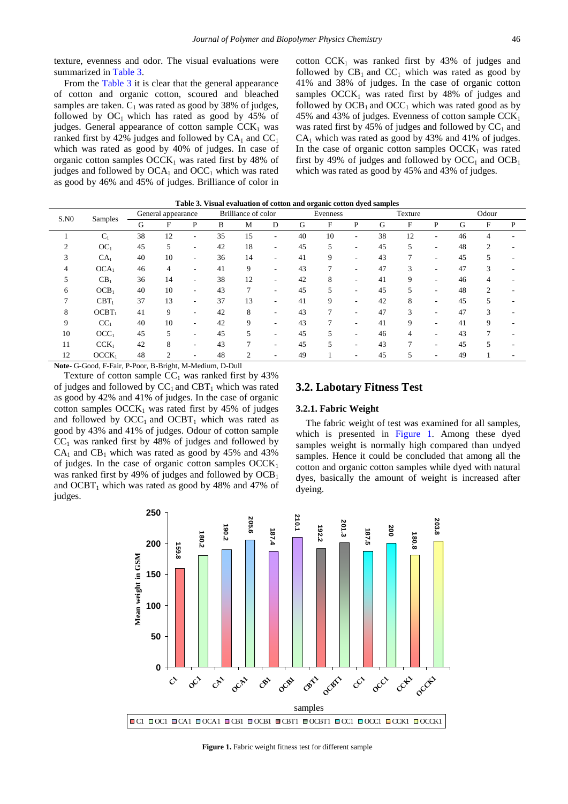texture, evenness and odor. The visual evaluations were summarized in [Table 3.](#page-2-0)

From the [Table 3](#page-2-0) it is clear that the general appearance of cotton and organic cotton, scoured and bleached samples are taken.  $C_1$  was rated as good by 38% of judges, followed by  $OC_1$  which has rated as good by 45% of judges. General appearance of cotton sample  $CCK<sub>1</sub>$  was ranked first by 42% judges and followed by  $CA_1$  and  $CC_1$ which was rated as good by 40% of judges. In case of organic cotton samples  $OCCK<sub>1</sub>$  was rated first by 48% of judges and followed by  $OCA_1$  and  $OCC_1$  which was rated as good by 46% and 45% of judges. Brilliance of color in cotton  $CCK<sub>1</sub>$  was ranked first by 43% of judges and followed by  $CB_1$  and  $CC_1$  which was rated as good by 41% and 38% of judges. In the case of organic cotton samples  $OCCK<sub>1</sub>$  was rated first by 48% of judges and followed by  $OCB_1$  and  $OCC_1$  which was rated good as by 45% and 43% of judges. Evenness of cotton sample  $CCK_1$ was rated first by 45% of judges and followed by  $CC_1$  and  $CA<sub>1</sub>$  which was rated as good by 43% and 41% of judges. In the case of organic cotton samples  $OCCK<sub>1</sub>$  was rated first by 49% of judges and followed by  $\mathrm{OCC}_1$  and  $\mathrm{OCB}_1$ which was rated as good by 45% and 43% of judges.

<span id="page-2-0"></span>

| S.N0 | Samples           | General appearance |    |   | Brilliance of color |                | Evenness |    |    | Texture |    |    | Odour |    |                |   |
|------|-------------------|--------------------|----|---|---------------------|----------------|----------|----|----|---------|----|----|-------|----|----------------|---|
|      |                   | G                  | F  | P | B                   | M              | D        | G  | F  | P       | G  | F  | P     | G  | F              | P |
|      | $C_1$             | 38                 | 12 | ۰ | 35                  | 15             | ۰        | 40 | 10 | ٠       | 38 | 12 | ۰     | 46 |                |   |
|      | OC <sub>1</sub>   | 45                 | 5  | ۰ | 42                  | 18             | ٠        | 45 | 5  | ۰       | 45 |    | ۰.    | 48 | C              |   |
| 3    | CA <sub>1</sub>   | 40                 | 10 | ۰ | 36                  | 14             | ۰        | 41 | 9  | ۰       | 43 |    |       | 45 |                |   |
|      | OCA <sub>1</sub>  | 46                 | 4  | ۰ | 41                  | 9              | ٠        | 43 | 7  | ۰       | 47 | 3  | ۰     | 47 | 3              |   |
| C.   | CB <sub>1</sub>   | 36                 | 14 | ۰ | 38                  | 12             | ٠        | 42 | 8  | ۰       | 41 | 9  | ۰     | 46 | 4              |   |
| 6    | OCB <sub>1</sub>  | 40                 | 10 | ۰ | 43                  | $\overline{7}$ | ۰        | 45 | 5  | ۰       | 45 |    |       | 48 | $\mathfrak{D}$ |   |
| 7    | $CBT_1$           | 37                 | 13 | ۰ | 37                  | 13             | ۰        | 41 | 9  | ٠       | 42 | 8  | ۰     | 45 |                |   |
| 8    | $OCBT_1$          | 41                 | 9  |   | 42                  | 8              | ۰        | 43 | 7  | ۰       | 47 | 3  |       | 47 | 3              |   |
| 9    | CC <sub>1</sub>   | 40                 | 10 | ۰ | 42                  | 9              | ۰        | 43 | 7  | ۰       | 41 | 9  |       | 41 | 9              |   |
| 10   | OCC <sub>1</sub>  | 45                 | 5  | ۰ | 45                  | 5              | ۰        | 45 | 5  | ۰       | 46 | 4  | ۰     | 43 |                |   |
| 11   | CCK <sub>1</sub>  | 42                 | 8  |   | 43                  |                | ۰        | 45 |    | ۰       | 43 |    |       | 45 |                |   |
| 12   | OCCK <sub>1</sub> | 48                 | 2  | ۰ | 48                  | $\overline{c}$ |          | 49 |    | ٠       | 45 | 5  | ۰     | 49 |                |   |
|      |                   |                    |    |   |                     |                |          |    |    |         |    |    |       |    |                |   |

|  | Table 3. Visual evaluation of cotton and organic cotton dyed samples |
|--|----------------------------------------------------------------------|
|  |                                                                      |

**Note-** G-Good, F-Fair, P-Poor, B-Bright, M-Medium, D-Dull

Texture of cotton sample  $CC_1$  was ranked first by 43% of judges and followed by  $CC_1$  and  $CBT_1$  which was rated as good by 42% and 41% of judges. In the case of organic cotton samples  $OCCK_1$  was rated first by 45% of judges and followed by  $OCC<sub>1</sub>$  and  $OCBT<sub>1</sub>$  which was rated as good by 43% and 41% of judges. Odour of cotton sample  $CC<sub>1</sub>$  was ranked first by 48% of judges and followed by  $CA<sub>1</sub>$  and  $CB<sub>1</sub>$  which was rated as good by 45% and 43% of judges. In the case of organic cotton samples  $OCCK<sub>1</sub>$ was ranked first by 49% of judges and followed by  $OCB<sub>1</sub>$ and  $OCBT_1$  which was rated as good by 48% and 47% of judges.

### **3.2. Labotary Fitness Test**

#### **3.2.1. Fabric Weight**

The fabric weight of test was examined for all samples, which is presented in [Figure 1.](#page-2-1) Among these dyed samples weight is normally high compared than undyed samples. Hence it could be concluded that among all the cotton and organic cotton samples while dyed with natural dyes, basically the amount of weight is increased after dyeing.

<span id="page-2-1"></span>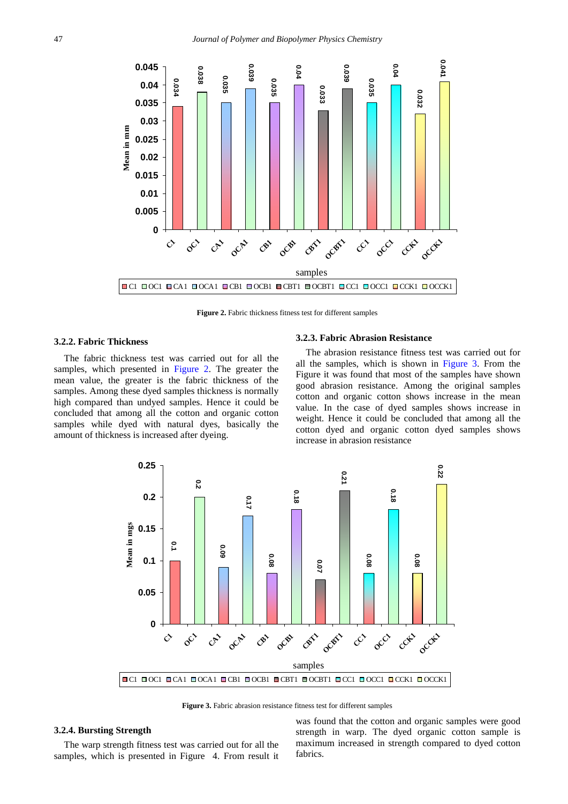<span id="page-3-0"></span>

**Figure 2.** Fabric thickness fitness test for different samples

### **3.2.2. Fabric Thickness**

The fabric thickness test was carried out for all the samples, which presented in [Figure 2.](#page-3-0) The greater the mean value, the greater is the fabric thickness of the samples. Among these dyed samples thickness is normally high compared than undyed samples. Hence it could be concluded that among all the cotton and organic cotton samples while dyed with natural dyes, basically the amount of thickness is increased after dyeing.

#### **3.2.3. Fabric Abrasion Resistance**

The abrasion resistance fitness test was carried out for all the samples, which is shown in [Figure 3.](#page-3-1) From the Figure it was found that most of the samples have shown good abrasion resistance. Among the original samples cotton and organic cotton shows increase in the mean value. In the case of dyed samples shows increase in weight. Hence it could be concluded that among all the cotton dyed and organic cotton dyed samples shows increase in abrasion resistance

<span id="page-3-1"></span>

**Figure 3.** Fabric abrasion resistance fitness test for different samples

#### **3.2.4. Bursting Strength**

The warp strength fitness test was carried out for all the samples, which is presented in Figure 4. From result it was found that the cotton and organic samples were good strength in warp. The dyed organic cotton sample is maximum increased in strength compared to dyed cotton fabrics.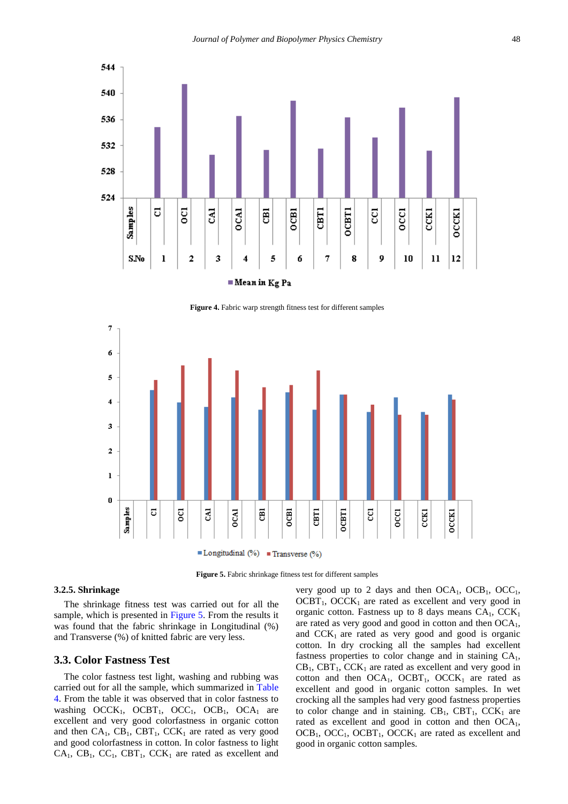

**Figure 4.** Fabric warp strength fitness test for different samples

<span id="page-4-0"></span>

**Figure 5.** Fabric shrinkage fitness test for different samples

### **3.2.5. Shrinkage**

The shrinkage fitness test was carried out for all the sample, which is presented in [Figure 5.](#page-4-0) From the results it was found that the fabric shrinkage in Longitudinal (%) and Transverse (%) of knitted fabric are very less.

### **3.3. Color Fastness Test**

The color fastness test light, washing and rubbing was carried out for all the sample, which summarized in [Table](#page-5-15)  [4.](#page-5-15) From the table it was observed that in color fastness to washing  $OCCK_1$ ,  $OCBT_1$ ,  $OCC_1$ ,  $OCB_1$ ,  $OCA_1$  are excellent and very good colorfastness in organic cotton and then  $CA_1$ ,  $CB_1$ ,  $CBT_1$ ,  $CCK_1$  are rated as very good and good colorfastness in cotton. In color fastness to light  $CA_1$ ,  $CB_1$ ,  $CC_1$ ,  $CBT_1$ ,  $CCK_1$  are rated as excellent and very good up to 2 days and then  $OCA<sub>1</sub>$ ,  $OCB<sub>1</sub>$ ,  $OCC<sub>1</sub>$ ,  $OCBT_1$ ,  $OCCK_1$  are rated as excellent and very good in organic cotton. Fastness up to 8 days means  $CA_1$ ,  $CCK_1$ are rated as very good and good in cotton and then  $OCA<sub>1</sub>$ , and  $CCK<sub>1</sub>$  are rated as very good and good is organic cotton. In dry crocking all the samples had excellent fastness properties to color change and in staining  $CA<sub>1</sub>$ ,  $CB<sub>1</sub>$ ,  $CB<sub>1</sub>$ ,  $CCK<sub>1</sub>$  are rated as excellent and very good in cotton and then  $OCA<sub>1</sub>$ ,  $OCBT<sub>1</sub>$ ,  $OCCK<sub>1</sub>$  are rated as excellent and good in organic cotton samples. In wet crocking all the samples had very good fastness properties to color change and in staining.  $CB_1$ ,  $CBT_1$ ,  $CCK_1$  are rated as excellent and good in cotton and then OCA<sub>1</sub>,  $OCB<sub>1</sub>$ ,  $OCC<sub>1</sub>$ ,  $OCB<sub>1</sub>$ ,  $OCC<sub>K<sub>1</sub></sub>$  are rated as excellent and good in organic cotton samples.